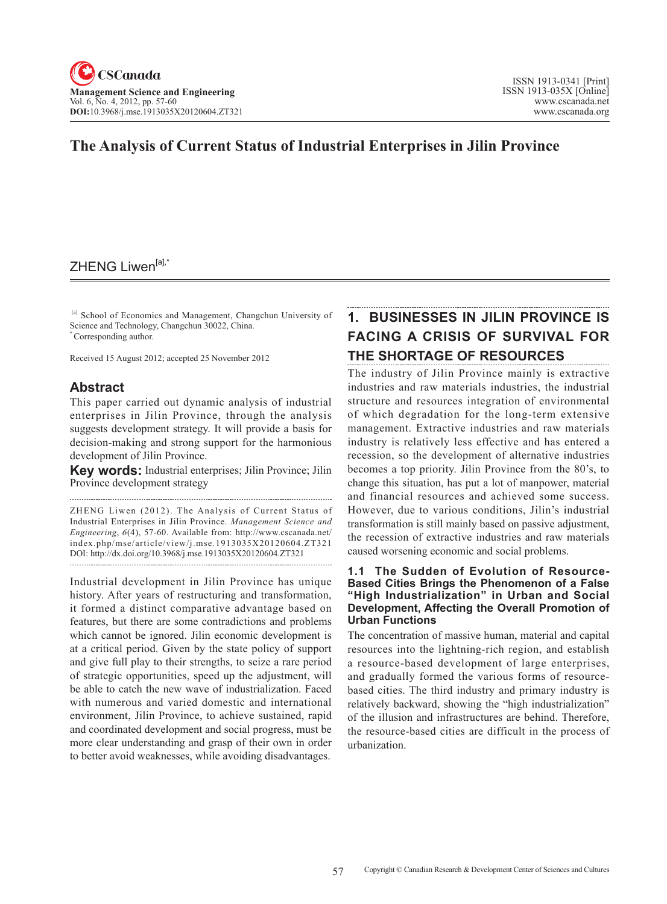### **The Analysis of Current Status of Industrial Enterprises in Jilin Province**

### ZHENG Liwen[a],\*

 [a] School of Economics and Management, Changchun University of Science and Technology, Changchun 30022, China. \* Corresponding author.

Received 15 August 2012; accepted 25 November 2012

### **Abstract**

This paper carried out dynamic analysis of industrial enterprises in Jilin Province, through the analysis suggests development strategy. It will provide a basis for decision-making and strong support for the harmonious development of Jilin Province.

**Key words:** Industrial enterprises; Jilin Province; Jilin Province development strategy

ZHENG Liwen (2012). The Analysis of Current Status of Industrial Enterprises in Jilin Province. *Management Science and Engineering*, <sup>6</sup>(4), 57-60. Available from: http://www.cscanada.net/ index.php/mse/article/view/j.mse.1913035X20120604.ZT321 DOI: http://dx.doi.org/10.3968/j.mse.1913035X20120604.ZT321

Industrial development in Jilin Province has unique history. After years of restructuring and transformation, it formed a distinct comparative advantage based on features, but there are some contradictions and problems which cannot be ignored. Jilin economic development is at a critical period. Given by the state policy of support and give full play to their strengths, to seize a rare period of strategic opportunities, speed up the adjustment, will be able to catch the new wave of industrialization. Faced with numerous and varied domestic and international environment, Jilin Province, to achieve sustained, rapid and coordinated development and social progress, must be more clear understanding and grasp of their own in order to better avoid weaknesses, while avoiding disadvantages.

# **1. BUSINESSES IN JILIN PROVINCE IS FACING A CRISIS OF SURVIVAL FOR THE SHORTAGE OF RESOURCES**

The industry of Jilin Province mainly is extractive industries and raw materials industries, the industrial structure and resources integration of environmental of which degradation for the long-term extensive management. Extractive industries and raw materials industry is relatively less effective and has entered a recession, so the development of alternative industries becomes a top priority. Jilin Province from the 80's, to change this situation, has put a lot of manpower, material and financial resources and achieved some success. However, due to various conditions, Jilin's industrial transformation is still mainly based on passive adjustment, the recession of extractive industries and raw materials caused worsening economic and social problems.

#### **1.1 The Sudden of Evolution of Resource-Based Cities Brings the Phenomenon of a False "High Industrialization" in Urban and Social Development, Affecting the Overall Promotion of Urban Functions**

The concentration of massive human, material and capital resources into the lightning-rich region, and establish a resource-based development of large enterprises, and gradually formed the various forms of resourcebased cities. The third industry and primary industry is relatively backward, showing the "high industrialization" of the illusion and infrastructures are behind. Therefore, the resource-based cities are difficult in the process of urbanization.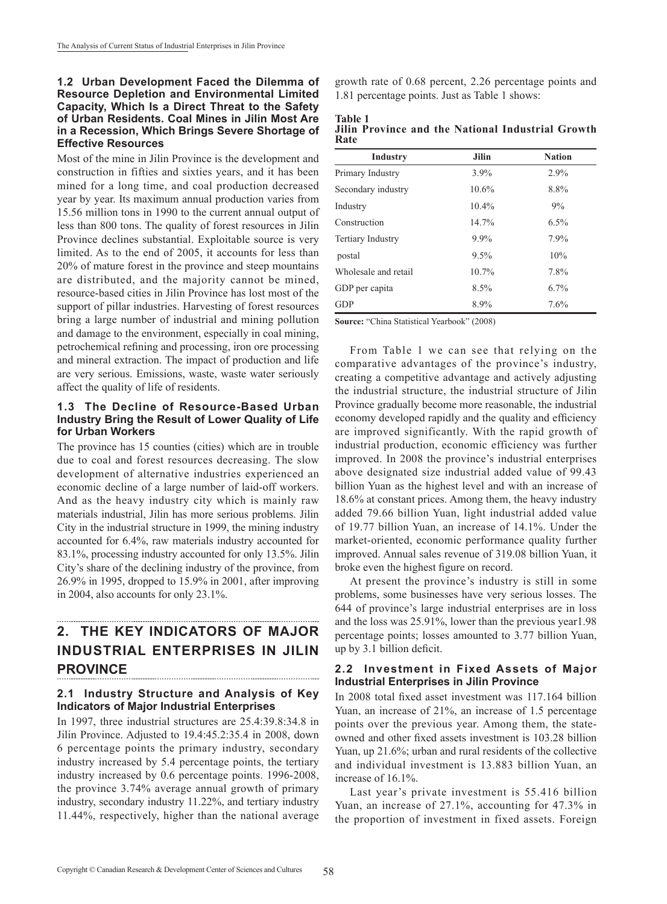#### **1.2 Urban Development Faced the Dilemma of Resource Depletion and Environmental Limited Capacity, Which Is a Direct Threat to the Safety of Urban Residents. Coal Mines in Jilin Most Are in a Recession, Which Brings Severe Shortage of Effective Resources**

Most of the mine in Jilin Province is the development and construction in fifties and sixties years, and it has been mined for a long time, and coal production decreased year by year. Its maximum annual production varies from 15.56 million tons in 1990 to the current annual output of less than 800 tons. The quality of forest resources in Jilin Province declines substantial. Exploitable source is very limited. As to the end of 2005, it accounts for less than 20% of mature forest in the province and steep mountains are distributed, and the majority cannot be mined, resource-based cities in Jilin Province has lost most of the support of pillar industries. Harvesting of forest resources bring a large number of industrial and mining pollution and damage to the environment, especially in coal mining, petrochemical refining and processing, iron ore processing and mineral extraction. The impact of production and life are very serious. Emissions, waste, waste water seriously affect the quality of life of residents.

#### **1.3 The Decline of Resource-Based Urban Industry Bring the Result of Lower Quality of Life for Urban Workers**

The province has 15 counties (cities) which are in trouble due to coal and forest resources decreasing. The slow development of alternative industries experienced an economic decline of a large number of laid-off workers. And as the heavy industry city which is mainly raw materials industrial, Jilin has more serious problems. Jilin City in the industrial structure in 1999, the mining industry accounted for 6.4%, raw materials industry accounted for 83.1%, processing industry accounted for only 13.5%. Jilin City's share of the declining industry of the province, from 26.9% in 1995, dropped to 15.9% in 2001, after improving in 2004, also accounts for only 23.1%.

### **2. THE KEY INDICATORS OF MAJOR INDUSTRIAL ENTERPRISES IN JILIN PROVINCE**

#### **2.1 Industry Structure and Analysis of Key Indicators of Major Industrial Enterprises**

In 1997, three industrial structures are 25.4:39.8:34.8 in Jilin Province. Adjusted to 19.4:45.2:35.4 in 2008, down 6 percentage points the primary industry, secondary industry increased by 5.4 percentage points, the tertiary industry increased by 0.6 percentage points. 1996-2008, the province 3.74% average annual growth of primary industry, secondary industry 11.22%, and tertiary industry 11.44%, respectively, higher than the national average growth rate of 0.68 percent, 2.26 percentage points and 1.81 percentage points. Just as Table 1 shows:

#### **Table 1 Jilin Province and the National Industrial Growth Rate**

| <b>Industry</b>          | <b>Jilin</b> | <b>Nation</b> |
|--------------------------|--------------|---------------|
| Primary Industry         | $3.9\%$      | 2.9%          |
| Secondary industry       | 10.6%        | 8.8%          |
| Industry                 | 10.4%        | 9%            |
| Construction             | 14.7%        | 6.5%          |
| <b>Tertiary Industry</b> | $9.9\%$      | 7.9%          |
| postal                   | 9.5%         | 10%           |
| Wholesale and retail     | $10.7\%$     | 7.8%          |
| GDP per capita           | 8.5%         | $6.7\%$       |
| <b>GDP</b>               | 8.9%         | 7.6%          |

**Source:** "China Statistical Yearbook" (2008)

From Table 1 we can see that relying on the comparative advantages of the province's industry, creating a competitive advantage and actively adjusting the industrial structure, the industrial structure of Jilin Province gradually become more reasonable, the industrial economy developed rapidly and the quality and efficiency are improved significantly. With the rapid growth of industrial production, economic efficiency was further improved. In 2008 the province's industrial enterprises above designated size industrial added value of 99.43 billion Yuan as the highest level and with an increase of 18.6% at constant prices. Among them, the heavy industry added 79.66 billion Yuan, light industrial added value of 19.77 billion Yuan, an increase of 14.1%. Under the market-oriented, economic performance quality further improved. Annual sales revenue of 319.08 billion Yuan, it broke even the highest figure on record.

At present the province's industry is still in some problems, some businesses have very serious losses. The 644 of province's large industrial enterprises are in loss and the loss was 25.91%, lower than the previous year1.98 percentage points; losses amounted to 3.77 billion Yuan, up by 3.1 billion deficit.

#### **2.2 Investment in Fixed Assets of Major Industrial Enterprises in Jilin Province**

In 2008 total fixed asset investment was 117.164 billion Yuan, an increase of 21%, an increase of 1.5 percentage points over the previous year. Among them, the stateowned and other fixed assets investment is 103.28 billion Yuan, up 21.6%; urban and rural residents of the collective and individual investment is 13.883 billion Yuan, an increase of 16.1%.

Last year's private investment is 55.416 billion Yuan, an increase of 27.1%, accounting for 47.3% in the proportion of investment in fixed assets. Foreign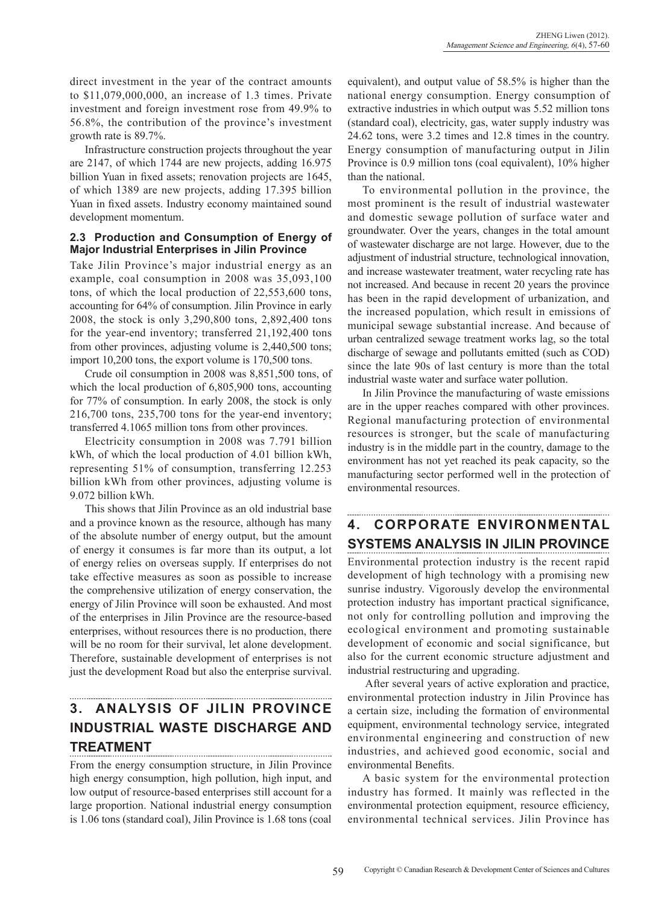direct investment in the year of the contract amounts to \$11,079,000,000, an increase of 1.3 times. Private investment and foreign investment rose from 49.9% to 56.8%, the contribution of the province's investment growth rate is 89.7%.

Infrastructure construction projects throughout the year are 2147, of which 1744 are new projects, adding 16.975 billion Yuan in fixed assets; renovation projects are 1645, of which 1389 are new projects, adding 17.395 billion Yuan in fixed assets. Industry economy maintained sound development momentum.

#### **2.3 Production and Consumption of Energy of Major Industrial Enterprises in Jilin Province**

Take Jilin Province's major industrial energy as an example, coal consumption in 2008 was 35,093,100 tons, of which the local production of 22,553,600 tons, accounting for 64% of consumption. Jilin Province in early 2008, the stock is only 3,290,800 tons, 2,892,400 tons for the year-end inventory; transferred 21,192,400 tons from other provinces, adjusting volume is 2,440,500 tons; import 10,200 tons, the export volume is 170,500 tons.

Crude oil consumption in 2008 was 8,851,500 tons, of which the local production of 6,805,900 tons, accounting for 77% of consumption. In early 2008, the stock is only 216,700 tons, 235,700 tons for the year-end inventory; transferred 4.1065 million tons from other provinces.

Electricity consumption in 2008 was 7.791 billion kWh, of which the local production of 4.01 billion kWh, representing 51% of consumption, transferring 12.253 billion kWh from other provinces, adjusting volume is 9.072 billion kWh.

This shows that Jilin Province as an old industrial base and a province known as the resource, although has many of the absolute number of energy output, but the amount of energy it consumes is far more than its output, a lot of energy relies on overseas supply. If enterprises do not take effective measures as soon as possible to increase the comprehensive utilization of energy conservation, the energy of Jilin Province will soon be exhausted. And most of the enterprises in Jilin Province are the resource-based enterprises, without resources there is no production, there will be no room for their survival, let alone development. Therefore, sustainable development of enterprises is not just the development Road but also the enterprise survival.

# **3. ANALYSIS OF JILIN PROVINCE INDUSTRIAL WASTE DISCHARGE AND TREATMENT**

From the energy consumption structure, in Jilin Province high energy consumption, high pollution, high input, and low output of resource-based enterprises still account for a large proportion. National industrial energy consumption is 1.06 tons (standard coal), Jilin Province is 1.68 tons (coal equivalent), and output value of 58.5% is higher than the national energy consumption. Energy consumption of extractive industries in which output was 5.52 million tons (standard coal), electricity, gas, water supply industry was 24.62 tons, were 3.2 times and 12.8 times in the country. Energy consumption of manufacturing output in Jilin Province is 0.9 million tons (coal equivalent), 10% higher than the national.

To environmental pollution in the province, the most prominent is the result of industrial wastewater and domestic sewage pollution of surface water and groundwater. Over the years, changes in the total amount of wastewater discharge are not large. However, due to the adjustment of industrial structure, technological innovation, and increase wastewater treatment, water recycling rate has not increased. And because in recent 20 years the province has been in the rapid development of urbanization, and the increased population, which result in emissions of municipal sewage substantial increase. And because of urban centralized sewage treatment works lag, so the total discharge of sewage and pollutants emitted (such as COD) since the late 90s of last century is more than the total industrial waste water and surface water pollution.

In Jilin Province the manufacturing of waste emissions are in the upper reaches compared with other provinces. Regional manufacturing protection of environmental resources is stronger, but the scale of manufacturing industry is in the middle part in the country, damage to the environment has not yet reached its peak capacity, so the manufacturing sector performed well in the protection of environmental resources.

## **4. CORPORATE ENVIRONMENTAL SYSTEMS ANALYSIS IN JILIN PROVINCE**

Environmental protection industry is the recent rapid development of high technology with a promising new sunrise industry. Vigorously develop the environmental protection industry has important practical significance, not only for controlling pollution and improving the ecological environment and promoting sustainable development of economic and social significance, but also for the current economic structure adjustment and industrial restructuring and upgrading.

 After several years of active exploration and practice, environmental protection industry in Jilin Province has a certain size, including the formation of environmental equipment, environmental technology service, integrated environmental engineering and construction of new industries, and achieved good economic, social and environmental Benefits.

A basic system for the environmental protection industry has formed. It mainly was reflected in the environmental protection equipment, resource efficiency, environmental technical services. Jilin Province has